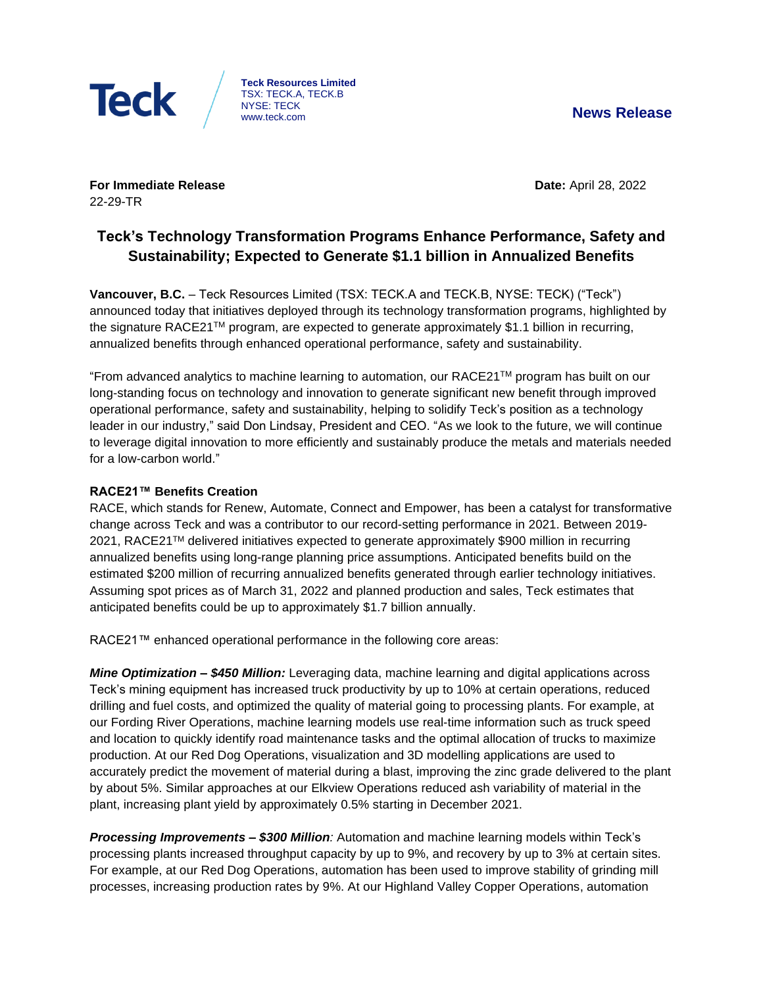

**Teck Resources Limited** TSX: TECK.A, TECK.B NYSE: TECK www.teck.com **News Release**

**For Immediate Release Date: April 28, 2022** 22-29-TR

# **Teck's Technology Transformation Programs Enhance Performance, Safety and Sustainability; Expected to Generate \$1.1 billion in Annualized Benefits**

**Vancouver, B.C.** – Teck Resources Limited (TSX: TECK.A and TECK.B, NYSE: TECK) ("Teck") announced today that initiatives deployed through its technology transformation programs, highlighted by the signature RACE21™ program, are expected to generate approximately \$1.1 billion in recurring, annualized benefits through enhanced operational performance, safety and sustainability.

"From advanced analytics to machine learning to automation, our RACE21TM program has built on our long-standing focus on technology and innovation to generate significant new benefit through improved operational performance, safety and sustainability, helping to solidify Teck's position as a technology leader in our industry," said Don Lindsay, President and CEO. "As we look to the future, we will continue to leverage digital innovation to more efficiently and sustainably produce the metals and materials needed for a low-carbon world."

# **RACE21™ Benefits Creation**

RACE, which stands for Renew, Automate, Connect and Empower, has been a catalyst for transformative change across Teck and was a contributor to our record-setting performance in 2021. Between 2019- 2021, RACE21™ delivered initiatives expected to generate approximately \$900 million in recurring annualized benefits using long-range planning price assumptions. Anticipated benefits build on the estimated \$200 million of recurring annualized benefits generated through earlier technology initiatives. Assuming spot prices as of March 31, 2022 and planned production and sales, Teck estimates that anticipated benefits could be up to approximately \$1.7 billion annually.

RACE21™ enhanced operational performance in the following core areas:

*Mine Optimization – \$450 Million:* Leveraging data, machine learning and digital applications across Teck's mining equipment has increased truck productivity by up to 10% at certain operations, reduced drilling and fuel costs, and optimized the quality of material going to processing plants. For example, at our Fording River Operations, machine learning models use real-time information such as truck speed and location to quickly identify road maintenance tasks and the optimal allocation of trucks to maximize production. At our Red Dog Operations, visualization and 3D modelling applications are used to accurately predict the movement of material during a blast, improving the zinc grade delivered to the plant by about 5%. Similar approaches at our Elkview Operations reduced ash variability of material in the plant, increasing plant yield by approximately 0.5% starting in December 2021.

*Processing Improvements – \$300 Million:* Automation and machine learning models within Teck's processing plants increased throughput capacity by up to 9%, and recovery by up to 3% at certain sites. For example, at our Red Dog Operations, automation has been used to improve stability of grinding mill processes, increasing production rates by 9%. At our Highland Valley Copper Operations, automation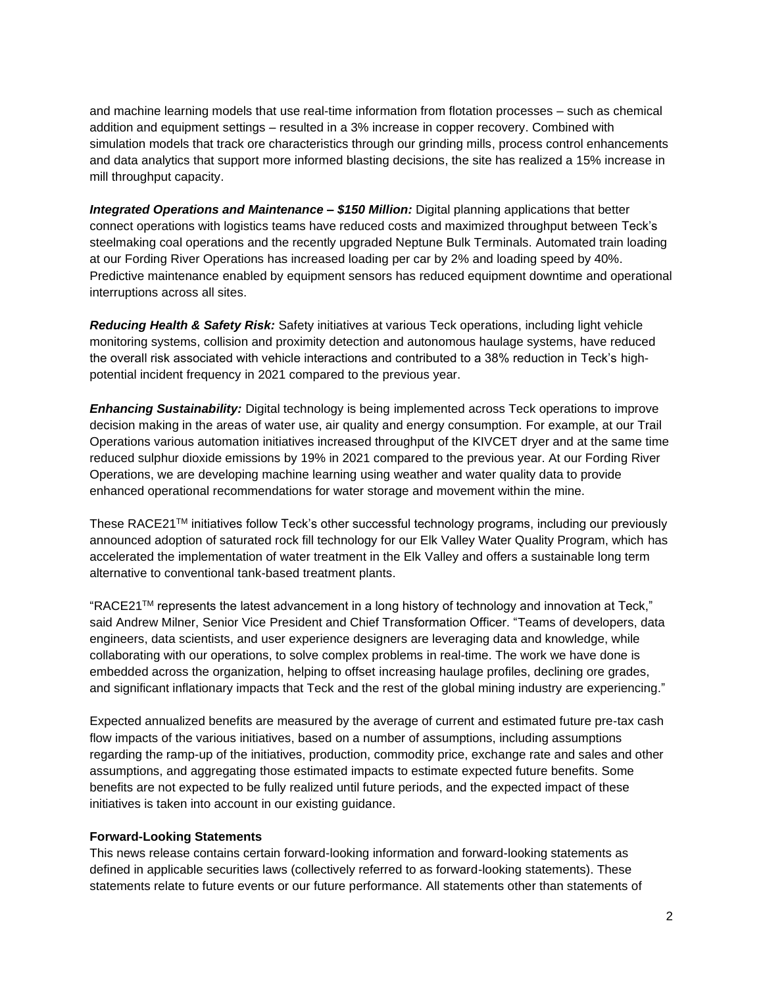and machine learning models that use real-time information from flotation processes – such as chemical addition and equipment settings – resulted in a 3% increase in copper recovery. Combined with simulation models that track ore characteristics through our grinding mills, process control enhancements and data analytics that support more informed blasting decisions, the site has realized a 15% increase in mill throughput capacity.

*Integrated Operations and Maintenance – \$150 Million:* Digital planning applications that better connect operations with logistics teams have reduced costs and maximized throughput between Teck's steelmaking coal operations and the recently upgraded Neptune Bulk Terminals. Automated train loading at our Fording River Operations has increased loading per car by 2% and loading speed by 40%. Predictive maintenance enabled by equipment sensors has reduced equipment downtime and operational interruptions across all sites.

*Reducing Health & Safety Risk:* Safety initiatives at various Teck operations, including light vehicle monitoring systems, collision and proximity detection and autonomous haulage systems, have reduced the overall risk associated with vehicle interactions and contributed to a 38% reduction in Teck's highpotential incident frequency in 2021 compared to the previous year.

*Enhancing Sustainability:* Digital technology is being implemented across Teck operations to improve decision making in the areas of water use, air quality and energy consumption. For example, at our Trail Operations various automation initiatives increased throughput of the KIVCET dryer and at the same time reduced sulphur dioxide emissions by 19% in 2021 compared to the previous year. At our Fording River Operations, we are developing machine learning using weather and water quality data to provide enhanced operational recommendations for water storage and movement within the mine.

These RACE21TM initiatives follow Teck's other successful technology programs, including our previously announced adoption of saturated rock fill technology for our Elk Valley Water Quality Program, which has accelerated the implementation of water treatment in the Elk Valley and offers a sustainable long term alternative to conventional tank-based treatment plants.

"RACE21 $TM$  represents the latest advancement in a long history of technology and innovation at Teck," said Andrew Milner, Senior Vice President and Chief Transformation Officer. "Teams of developers, data engineers, data scientists, and user experience designers are leveraging data and knowledge, while collaborating with our operations, to solve complex problems in real-time. The work we have done is embedded across the organization, helping to offset increasing haulage profiles, declining ore grades, and significant inflationary impacts that Teck and the rest of the global mining industry are experiencing."

Expected annualized benefits are measured by the average of current and estimated future pre-tax cash flow impacts of the various initiatives, based on a number of assumptions, including assumptions regarding the ramp-up of the initiatives, production, commodity price, exchange rate and sales and other assumptions, and aggregating those estimated impacts to estimate expected future benefits. Some benefits are not expected to be fully realized until future periods, and the expected impact of these initiatives is taken into account in our existing guidance.

#### **Forward-Looking Statements**

This news release contains certain forward-looking information and forward-looking statements as defined in applicable securities laws (collectively referred to as forward-looking statements). These statements relate to future events or our future performance. All statements other than statements of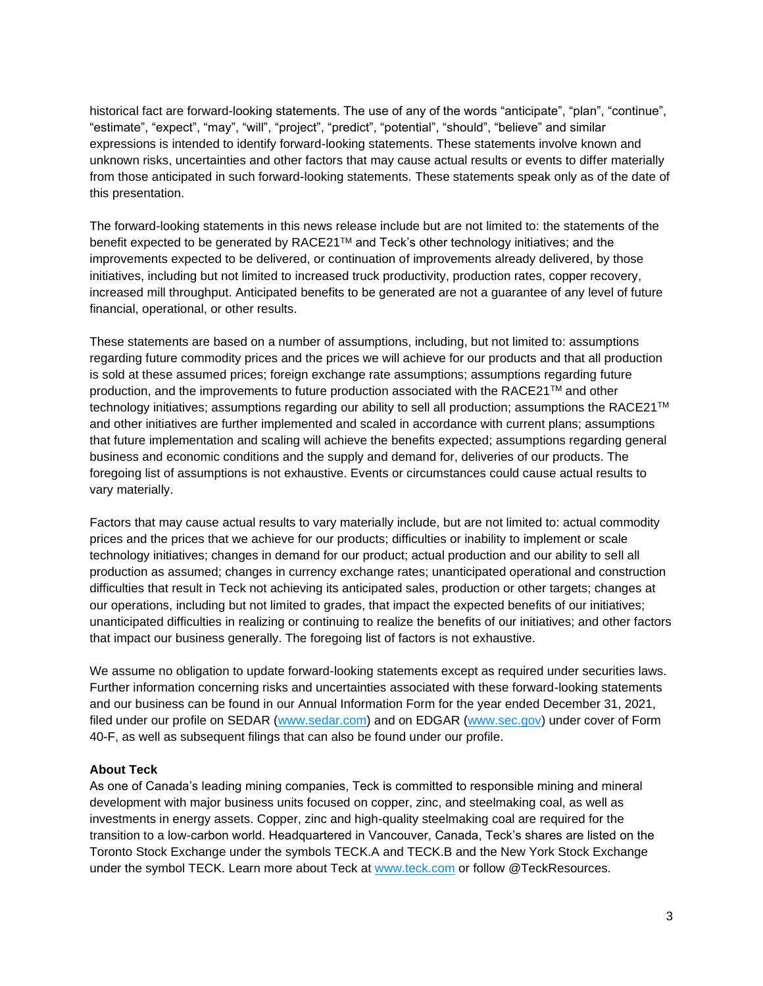historical fact are forward-looking statements. The use of any of the words "anticipate", "plan", "continue", "estimate", "expect", "may", "will", "project", "predict", "potential", "should", "believe" and similar expressions is intended to identify forward-looking statements. These statements involve known and unknown risks, uncertainties and other factors that may cause actual results or events to differ materially from those anticipated in such forward-looking statements. These statements speak only as of the date of this presentation.

The forward-looking statements in this news release include but are not limited to: the statements of the benefit expected to be generated by RACE21™ and Teck's other technology initiatives; and the improvements expected to be delivered, or continuation of improvements already delivered, by those initiatives, including but not limited to increased truck productivity, production rates, copper recovery, increased mill throughput. Anticipated benefits to be generated are not a guarantee of any level of future financial, operational, or other results.

These statements are based on a number of assumptions, including, but not limited to: assumptions regarding future commodity prices and the prices we will achieve for our products and that all production is sold at these assumed prices; foreign exchange rate assumptions; assumptions regarding future production, and the improvements to future production associated with the RACE21™ and other technology initiatives; assumptions regarding our ability to sell all production; assumptions the RACE21™ and other initiatives are further implemented and scaled in accordance with current plans; assumptions that future implementation and scaling will achieve the benefits expected; assumptions regarding general business and economic conditions and the supply and demand for, deliveries of our products. The foregoing list of assumptions is not exhaustive. Events or circumstances could cause actual results to vary materially.

Factors that may cause actual results to vary materially include, but are not limited to: actual commodity prices and the prices that we achieve for our products; difficulties or inability to implement or scale technology initiatives; changes in demand for our product; actual production and our ability to sell all production as assumed; changes in currency exchange rates; unanticipated operational and construction difficulties that result in Teck not achieving its anticipated sales, production or other targets; changes at our operations, including but not limited to grades, that impact the expected benefits of our initiatives; unanticipated difficulties in realizing or continuing to realize the benefits of our initiatives; and other factors that impact our business generally. The foregoing list of factors is not exhaustive.

We assume no obligation to update forward-looking statements except as required under securities laws. Further information concerning risks and uncertainties associated with these forward-looking statements and our business can be found in our Annual Information Form for the year ended December 31, 2021, filed under our profile on SEDAR [\(www.sedar.com\)](http://www.sedar.com/) and on EDGAR [\(www.sec.gov\)](http://www.sec.gov/) under cover of Form 40-F, as well as subsequent filings that can also be found under our profile.

### **About Teck**

As one of Canada's leading mining companies, Teck is committed to responsible mining and mineral development with major business units focused on copper, zinc, and steelmaking coal, as well as investments in energy assets. Copper, zinc and high-quality steelmaking coal are required for the transition to a low-carbon world. Headquartered in Vancouver, Canada, Teck's shares are listed on the Toronto Stock Exchange under the symbols TECK.A and TECK.B and the New York Stock Exchange under the symbol TECK. Learn more about Teck at [www.teck.com](http://www.teck.com/) or follow @TeckResources.